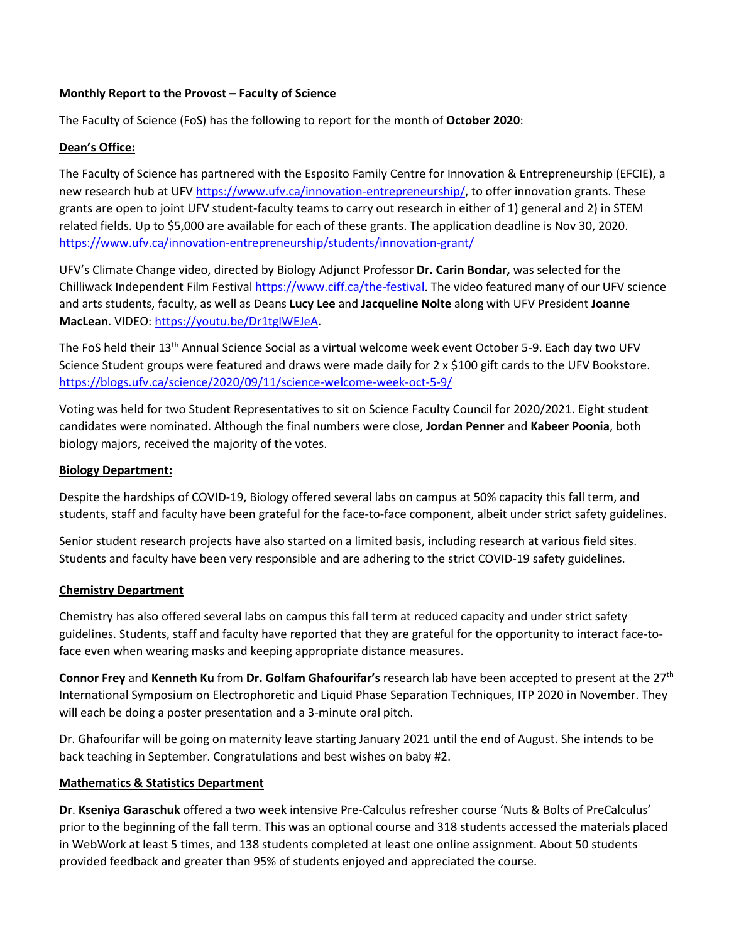### **Monthly Report to the Provost – Faculty of Science**

The Faculty of Science (FoS) has the following to report for the month of **October 2020**:

## **Dean's Office:**

The Faculty of Science has partnered with the Esposito Family Centre for Innovation & Entrepreneurship (EFCIE), a new research hub at UF[V https://www.ufv.ca/innovation-entrepreneurship/,](https://www.ufv.ca/innovation-entrepreneurship/) to offer innovation grants. These grants are open to joint UFV student-faculty teams to carry out research in either of 1) general and 2) in STEM related fields. Up to \$5,000 are available for each of these grants. The application deadline is Nov 30, 2020. <https://www.ufv.ca/innovation-entrepreneurship/students/innovation-grant/>

UFV's Climate Change video, directed by Biology Adjunct Professor **Dr. Carin Bondar,** was selected for the Chilliwack Independent Film Festiva[l https://www.ciff.ca/the-festival.](https://www.ciff.ca/the-festival) The video featured many of our UFV science and arts students, faculty, as well as Deans **Lucy Lee** and **Jacqueline Nolte** along with UFV President **Joanne MacLean**. VIDEO: [https://youtu.be/Dr1tglWEJeA.](https://youtu.be/Dr1tglWEJeA)

The FoS held their 13<sup>th</sup> Annual Science Social as a virtual welcome week event October 5-9. Each day two UFV Science Student groups were featured and draws were made daily for 2 x \$100 gift cards to the UFV Bookstore. <https://blogs.ufv.ca/science/2020/09/11/science-welcome-week-oct-5-9/>

Voting was held for two Student Representatives to sit on Science Faculty Council for 2020/2021. Eight student candidates were nominated. Although the final numbers were close, **Jordan Penner** and **Kabeer Poonia**, both biology majors, received the majority of the votes.

### **Biology Department:**

Despite the hardships of COVID-19, Biology offered several labs on campus at 50% capacity this fall term, and students, staff and faculty have been grateful for the face-to-face component, albeit under strict safety guidelines.

Senior student research projects have also started on a limited basis, including research at various field sites. Students and faculty have been very responsible and are adhering to the strict COVID-19 safety guidelines.

#### **Chemistry Department**

Chemistry has also offered several labs on campus this fall term at reduced capacity and under strict safety guidelines. Students, staff and faculty have reported that they are grateful for the opportunity to interact face-toface even when wearing masks and keeping appropriate distance measures.

**Connor Frey** and **Kenneth Ku** from **Dr. Golfam Ghafourifar's** research lab have been accepted to present at the 27th International Symposium on Electrophoretic and Liquid Phase Separation Techniques, ITP 2020 in November. They will each be doing a poster presentation and a 3-minute oral pitch.

Dr. Ghafourifar will be going on maternity leave starting January 2021 until the end of August. She intends to be back teaching in September. Congratulations and best wishes on baby #2.

#### **Mathematics & Statistics Department**

**Dr**. **Kseniya Garaschuk** offered a two week intensive Pre-Calculus refresher course 'Nuts & Bolts of PreCalculus' prior to the beginning of the fall term. This was an optional course and 318 students accessed the materials placed in WebWork at least 5 times, and 138 students completed at least one online assignment. About 50 students provided feedback and greater than 95% of students enjoyed and appreciated the course.